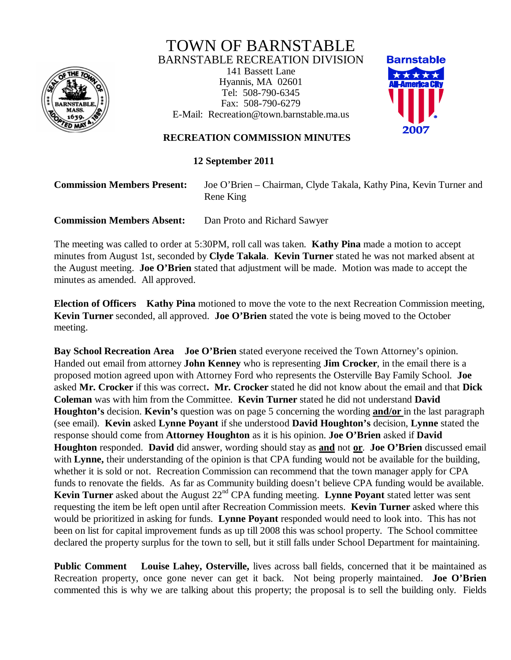

## TOWN OF BARNSTABLE BARNSTABLE RECREATION DIVISION

141 Bassett Lane Hyannis, MA 02601 Tel: 508-790-6345 Fax: 508-790-6279 E-Mail: Recreation@town.barnstable.ma.us



## **RECREATION COMMISSION MINUTES**

**12 September 2011**

## **Commission Members Present:** Joe O'Brien – Chairman, Clyde Takala, Kathy Pina, Kevin Turner and Rene King

**Commission Members Absent:** Dan Proto and Richard Sawyer

The meeting was called to order at 5:30PM, roll call was taken. **Kathy Pina** made a motion to accept minutes from August 1st, seconded by **Clyde Takala**. **Kevin Turner** stated he was not marked absent at the August meeting. **Joe O'Brien** stated that adjustment will be made. Motion was made to accept the minutes as amended. All approved.

**Election of Officers Kathy Pina** motioned to move the vote to the next Recreation Commission meeting, **Kevin Turner** seconded, all approved. **Joe O'Brien** stated the vote is being moved to the October meeting.

**Bay School Recreation Area Joe O'Brien** stated everyone received the Town Attorney's opinion. Handed out email from attorney **John Kenney** who is representing **Jim Crocker**, in the email there is a proposed motion agreed upon with Attorney Ford who represents the Osterville Bay Family School. **Joe** asked **Mr. Crocker** if this was correct**. Mr. Crocker** stated he did not know about the email and that **Dick Coleman** was with him from the Committee. **Kevin Turner** stated he did not understand **David Houghton's** decision. **Kevin's** question was on page 5 concerning the wording **and/or** in the last paragraph (see email). **Kevin** asked **Lynne Poyant** if she understood **David Houghton's** decision, **Lynne** stated the response should come from **Attorney Houghton** as it is his opinion. **Joe O'Brien** asked if **David Houghton** responded. **David** did answer, wording should stay as **and** not **or**. **Joe O'Brien** discussed email with **Lynne**, their understanding of the opinion is that CPA funding would not be available for the building, whether it is sold or not. Recreation Commission can recommend that the town manager apply for CPA funds to renovate the fields. As far as Community building doesn't believe CPA funding would be available. **Kevin Turner** asked about the August 22<sup>nd</sup> CPA funding meeting. **Lynne Poyant** stated letter was sent requesting the item be left open until after Recreation Commission meets. **Kevin Turner** asked where this would be prioritized in asking for funds. **Lynne Poyant** responded would need to look into. This has not been on list for capital improvement funds as up till 2008 this was school property. The School committee declared the property surplus for the town to sell, but it still falls under School Department for maintaining.

**Public Comment** Louise Lahey, Osterville, lives across ball fields, concerned that it be maintained as Recreation property, once gone never can get it back. Not being properly maintained. **Joe O'Brien** commented this is why we are talking about this property; the proposal is to sell the building only. Fields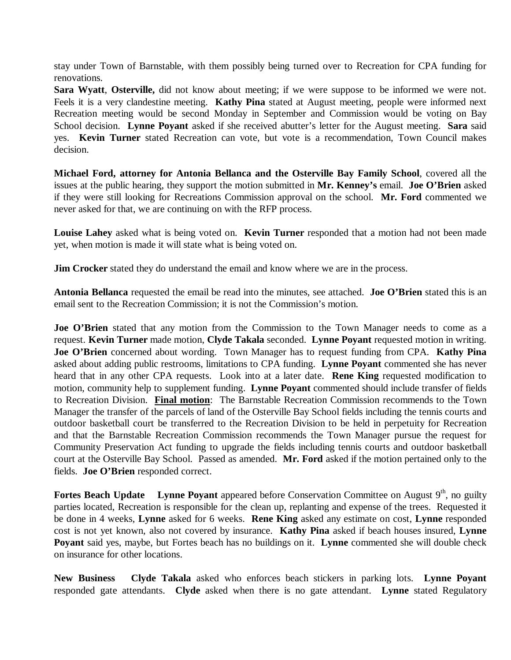stay under Town of Barnstable, with them possibly being turned over to Recreation for CPA funding for renovations.

**Sara Wyatt**, **Osterville,** did not know about meeting; if we were suppose to be informed we were not. Feels it is a very clandestine meeting. **Kathy Pina** stated at August meeting, people were informed next Recreation meeting would be second Monday in September and Commission would be voting on Bay School decision. **Lynne Poyant** asked if she received abutter's letter for the August meeting. **Sara** said yes. **Kevin Turner** stated Recreation can vote, but vote is a recommendation, Town Council makes decision.

**Michael Ford, attorney for Antonia Bellanca and the Osterville Bay Family School**, covered all the issues at the public hearing, they support the motion submitted in **Mr. Kenney's** email. **Joe O'Brien** asked if they were still looking for Recreations Commission approval on the school. **Mr. Ford** commented we never asked for that, we are continuing on with the RFP process.

**Louise Lahey** asked what is being voted on. **Kevin Turner** responded that a motion had not been made yet, when motion is made it will state what is being voted on.

**Jim Crocker** stated they do understand the email and know where we are in the process.

**Antonia Bellanca** requested the email be read into the minutes, see attached. **Joe O'Brien** stated this is an email sent to the Recreation Commission; it is not the Commission's motion.

**Joe O'Brien** stated that any motion from the Commission to the Town Manager needs to come as a request. **Kevin Turner** made motion, **Clyde Takala** seconded. **Lynne Poyant** requested motion in writing. **Joe O'Brien** concerned about wording. Town Manager has to request funding from CPA. **Kathy Pina**  asked about adding public restrooms, limitations to CPA funding. **Lynne Poyant** commented she has never heard that in any other CPA requests. Look into at a later date. **Rene King** requested modification to motion, community help to supplement funding. **Lynne Poyant** commented should include transfer of fields to Recreation Division. **Final motion**: The Barnstable Recreation Commission recommends to the Town Manager the transfer of the parcels of land of the Osterville Bay School fields including the tennis courts and outdoor basketball court be transferred to the Recreation Division to be held in perpetuity for Recreation and that the Barnstable Recreation Commission recommends the Town Manager pursue the request for Community Preservation Act funding to upgrade the fields including tennis courts and outdoor basketball court at the Osterville Bay School. Passed as amended. **Mr. Ford** asked if the motion pertained only to the fields. **Joe O'Brien** responded correct.

**Fortes Beach Update** Lynne Poyant appeared before Conservation Committee on August 9<sup>th</sup>, no guilty parties located, Recreation is responsible for the clean up, replanting and expense of the trees. Requested it be done in 4 weeks, **Lynne** asked for 6 weeks. **Rene King** asked any estimate on cost, **Lynne** responded cost is not yet known, also not covered by insurance. **Kathy Pina** asked if beach houses insured, **Lynne Poyant** said yes, maybe, but Fortes beach has no buildings on it. **Lynne** commented she will double check on insurance for other locations.

**New Business Clyde Takala** asked who enforces beach stickers in parking lots. **Lynne Poyant** responded gate attendants. **Clyde** asked when there is no gate attendant. **Lynne** stated Regulatory